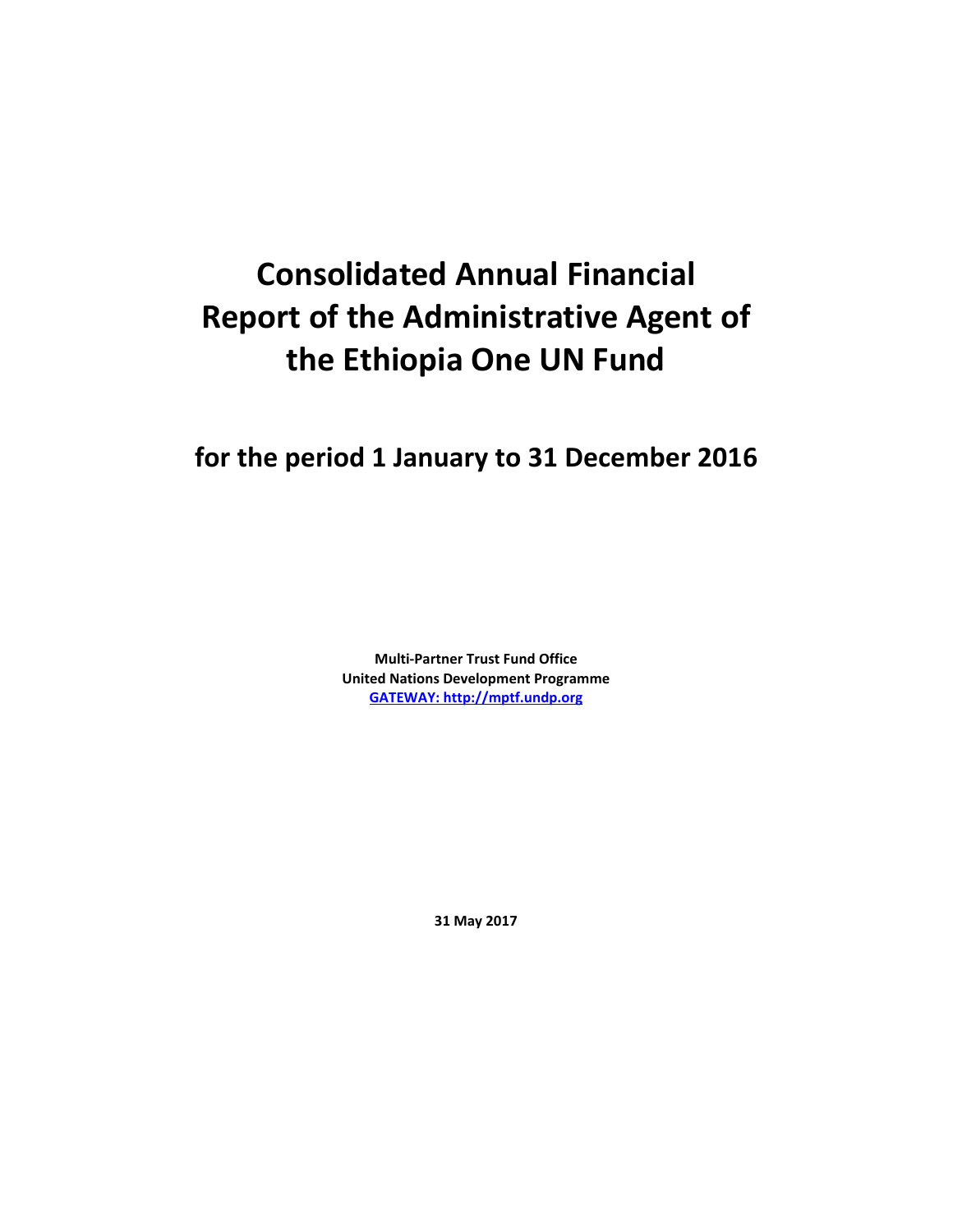# **Consolidated Annual Financial Report of the Administrative Agent of the Ethiopia One UN Fund**

**for the period 1 January to 31 December 2016**

**Multi-Partner Trust Fund Office United Nations Development Programme [GATEWAY: http://mptf.undp.org](http://mptf.undp.org/)**

**31 May 2017**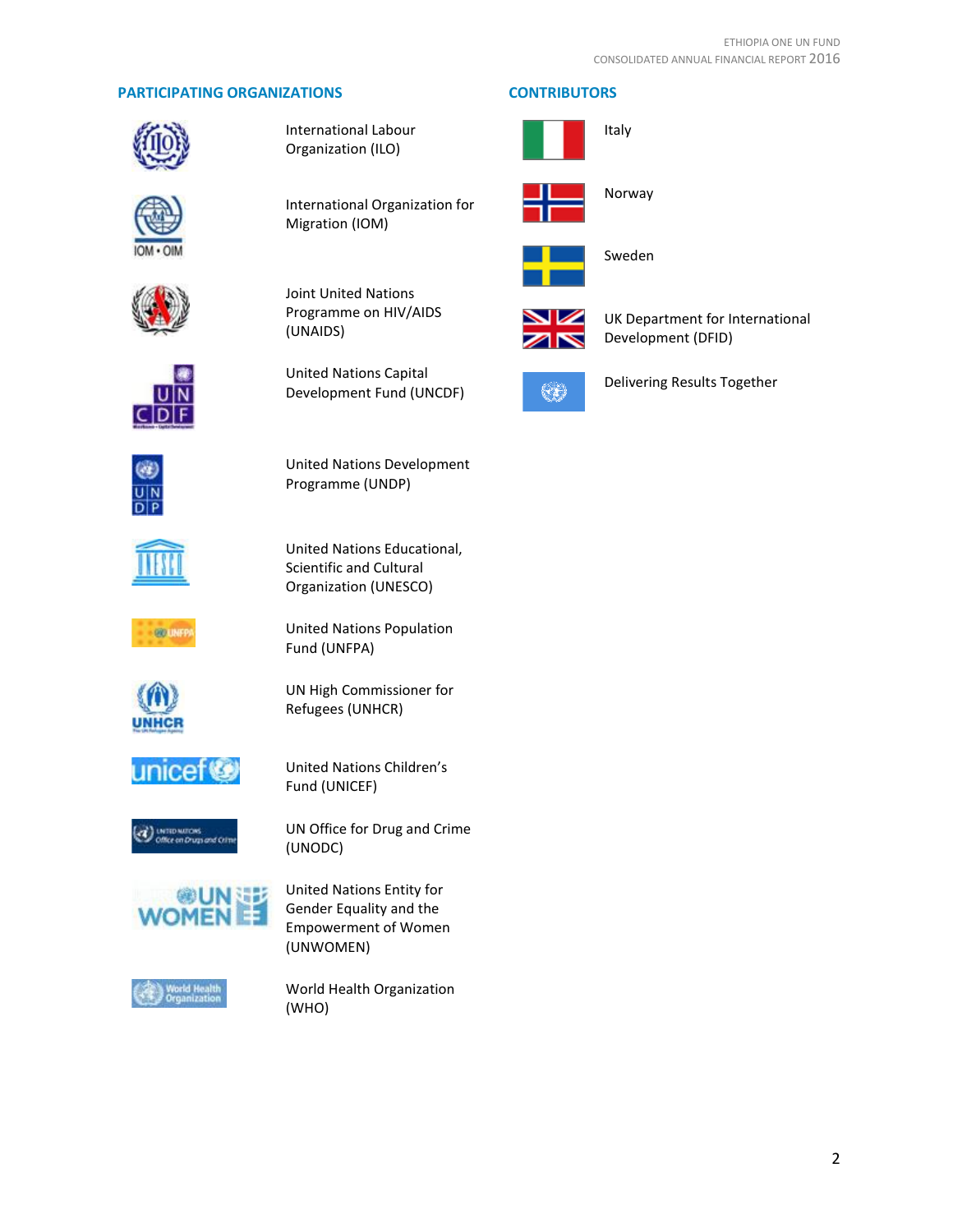# **PARTICIPATING ORGANIZATIONS CONTRIBUTORS**



International Labour Organization (ILO)



[International Organization for](http://www.iom.int/)  [Migration](http://www.iom.int/) (IOM)



Joint United Nations Programme on HIV/AIDS (UNAIDS)



United Nations Capital Development Fund (UNCDF)



United Nations Development Programme (UNDP)



United Nations Educational, Scientific and Cultural Organization (UNESCO)



United Nations Population Fund (UNFPA)



UN High Commissioner for Refugees (UNHCR)



United Nations Children's Fund (UNICEF)



UN Office for Drug and Crime (UNODC)



United Nations Entity for Gender Equality and the Empowerment of Women (UNWOMEN)



World Health Organization (WHO)



Norway



Sweden



UK Department for International Development (DFID)



Delivering Results Together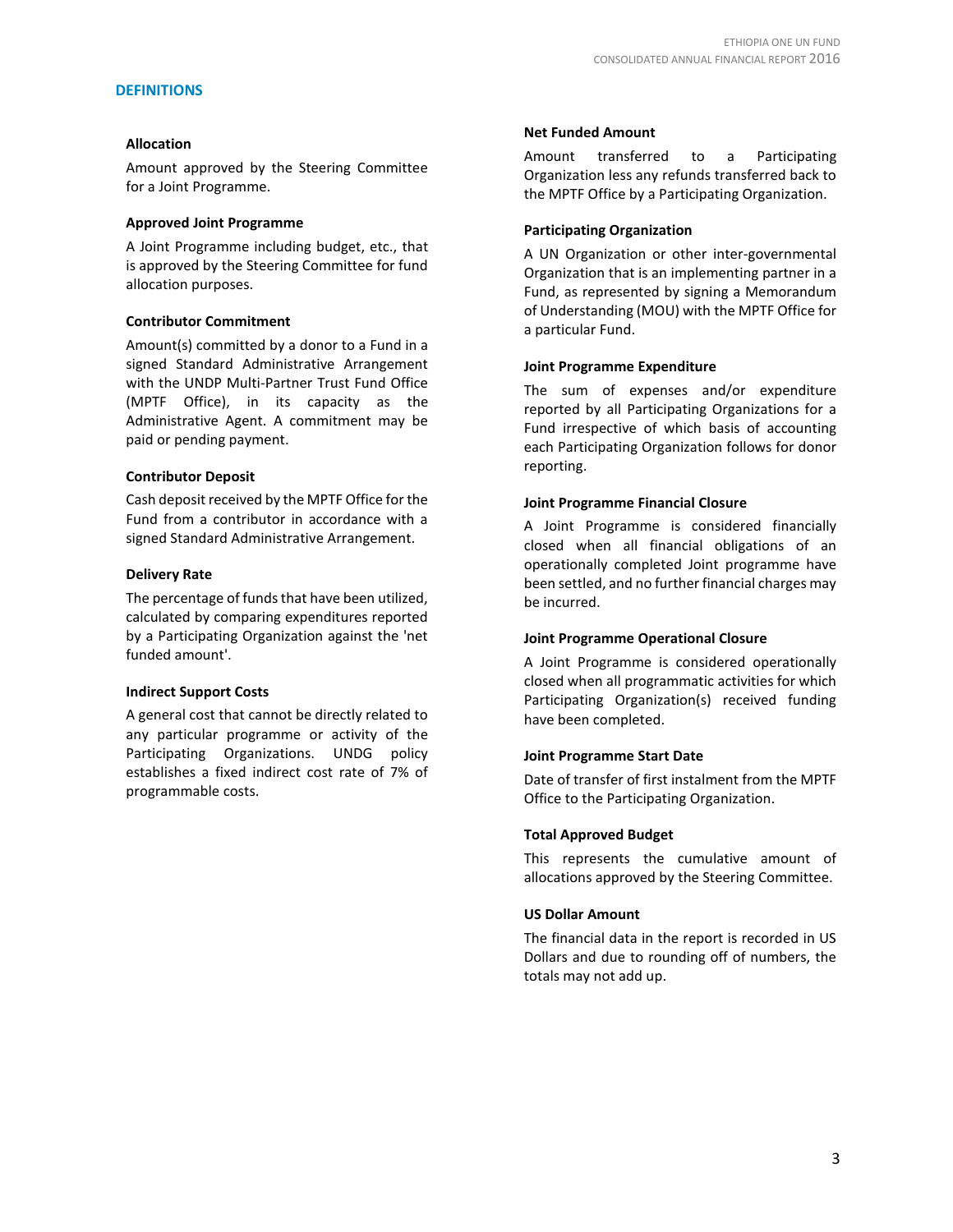# **DEFINITIONS**

#### **Allocation**

Amount approved by the Steering Committee for a Joint Programme.

#### **Approved Joint Programme**

A Joint Programme including budget, etc., that is approved by the Steering Committee for fund allocation purposes.

#### **Contributor Commitment**

Amount(s) committed by a donor to a Fund in a signed Standard Administrative Arrangement with the UNDP Multi-Partner Trust Fund Office (MPTF Office), in its capacity as the Administrative Agent. A commitment may be paid or pending payment.

#### **Contributor Deposit**

Cash deposit received by the MPTF Office for the Fund from a contributor in accordance with a signed Standard Administrative Arrangement.

#### **Delivery Rate**

The percentage of funds that have been utilized, calculated by comparing expenditures reported by a Participating Organization against the 'net funded amount'.

#### **Indirect Support Costs**

A general cost that cannot be directly related to any particular programme or activity of the Participating Organizations. UNDG policy establishes a fixed indirect cost rate of 7% of programmable costs.

#### **Net Funded Amount**

Amount transferred to a Participating Organization less any refunds transferred back to the MPTF Office by a Participating Organization.

#### **Participating Organization**

A UN Organization or other inter-governmental Organization that is an implementing partner in a Fund, as represented by signing a Memorandum of Understanding (MOU) with the MPTF Office for a particular Fund.

#### **Joint Programme Expenditure**

The sum of expenses and/or expenditure reported by all Participating Organizations for a Fund irrespective of which basis of accounting each Participating Organization follows for donor reporting.

#### **Joint Programme Financial Closure**

A Joint Programme is considered financially closed when all financial obligations of an operationally completed Joint programme have been settled, and no further financial charges may be incurred.

#### **Joint Programme Operational Closure**

A Joint Programme is considered operationally closed when all programmatic activities for which Participating Organization(s) received funding have been completed.

#### **Joint Programme Start Date**

Date of transfer of first instalment from the MPTF Office to the Participating Organization.

#### **Total Approved Budget**

This represents the cumulative amount of allocations approved by the Steering Committee.

#### **US Dollar Amount**

The financial data in the report is recorded in US Dollars and due to rounding off of numbers, the totals may not add up.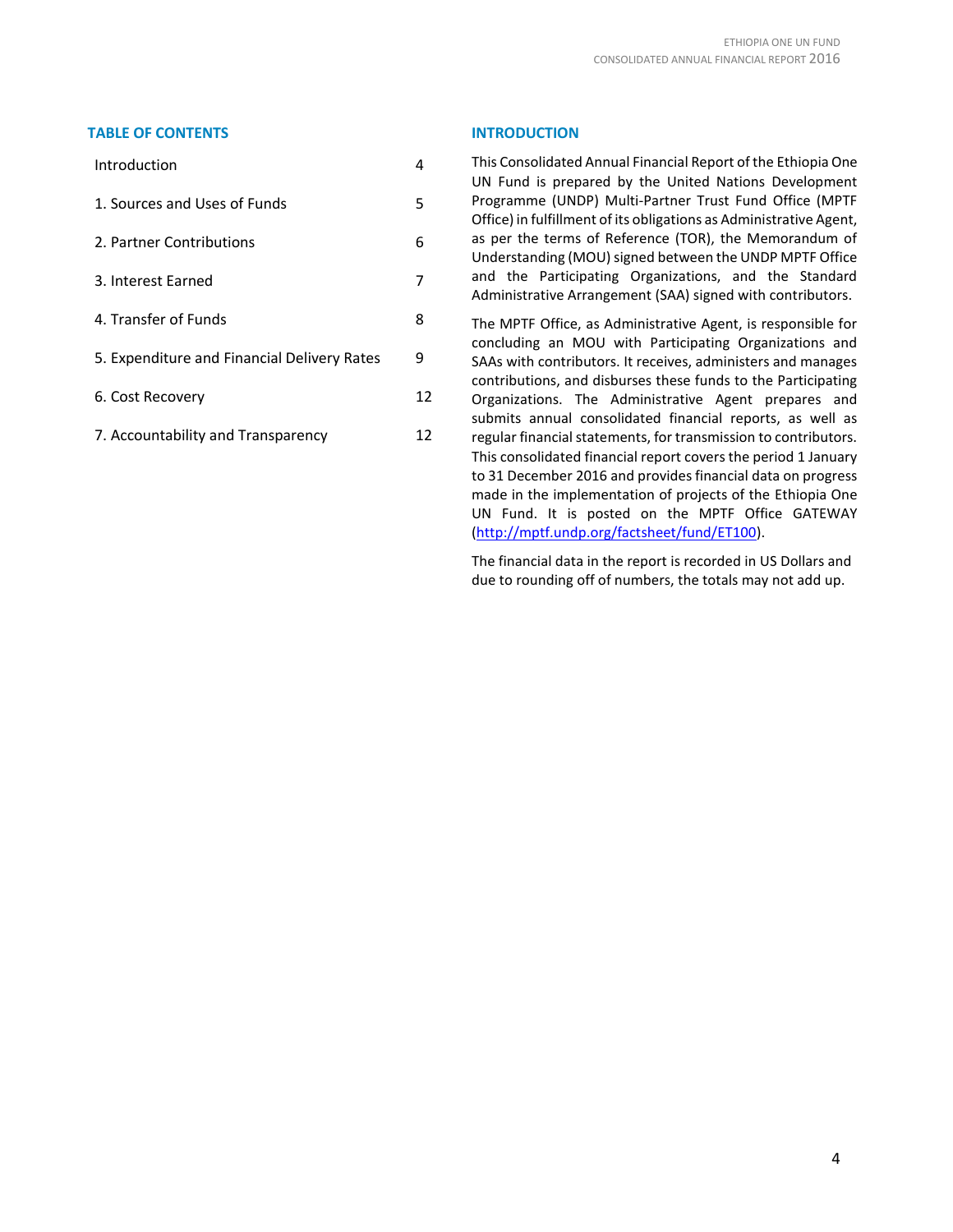### **TABLE OF CONTENTS INTRODUCTION**

| Introduction                                | 4  |
|---------------------------------------------|----|
| 1. Sources and Uses of Funds                | 5  |
| 2. Partner Contributions                    | 6  |
| 3. Interest Farned                          | 7  |
| 4. Transfer of Funds                        | 8  |
| 5. Expenditure and Financial Delivery Rates | 9  |
| 6. Cost Recovery                            | 12 |
| 7. Accountability and Transparency          | 12 |
|                                             |    |

This Consolidated Annual Financial Report of the Ethiopia One UN Fund is prepared by the United Nations Development Programme (UNDP) Multi-Partner Trust Fund Office (MPTF Office) in fulfillment of its obligations as Administrative Agent, as per the terms of Reference (TOR), the Memorandum of Understanding (MOU) signed between the UNDP MPTF Office and the Participating Organizations, and the Standard Administrative Arrangement (SAA) signed with contributors.

The MPTF Office, as Administrative Agent, is responsible for concluding an MOU with Participating Organizations and SAAs with contributors. It receives, administers and manages contributions, and disburses these funds to the Participating Organizations. The Administrative Agent prepares and submits annual consolidated financial reports, as well as regular financial statements, for transmission to contributors. This consolidated financial report covers the period 1 January to 31 December 2016 and provides financial data on progress made in the implementation of projects of the Ethiopia One UN Fund. It is posted on the MPTF Office GATEWAY [\(http://mptf.undp.org/factsheet/fund/ET100\)](http://mptf.undp.org/factsheet/fund/ET100).

The financial data in the report is recorded in US Dollars and due to rounding off of numbers, the totals may not add up.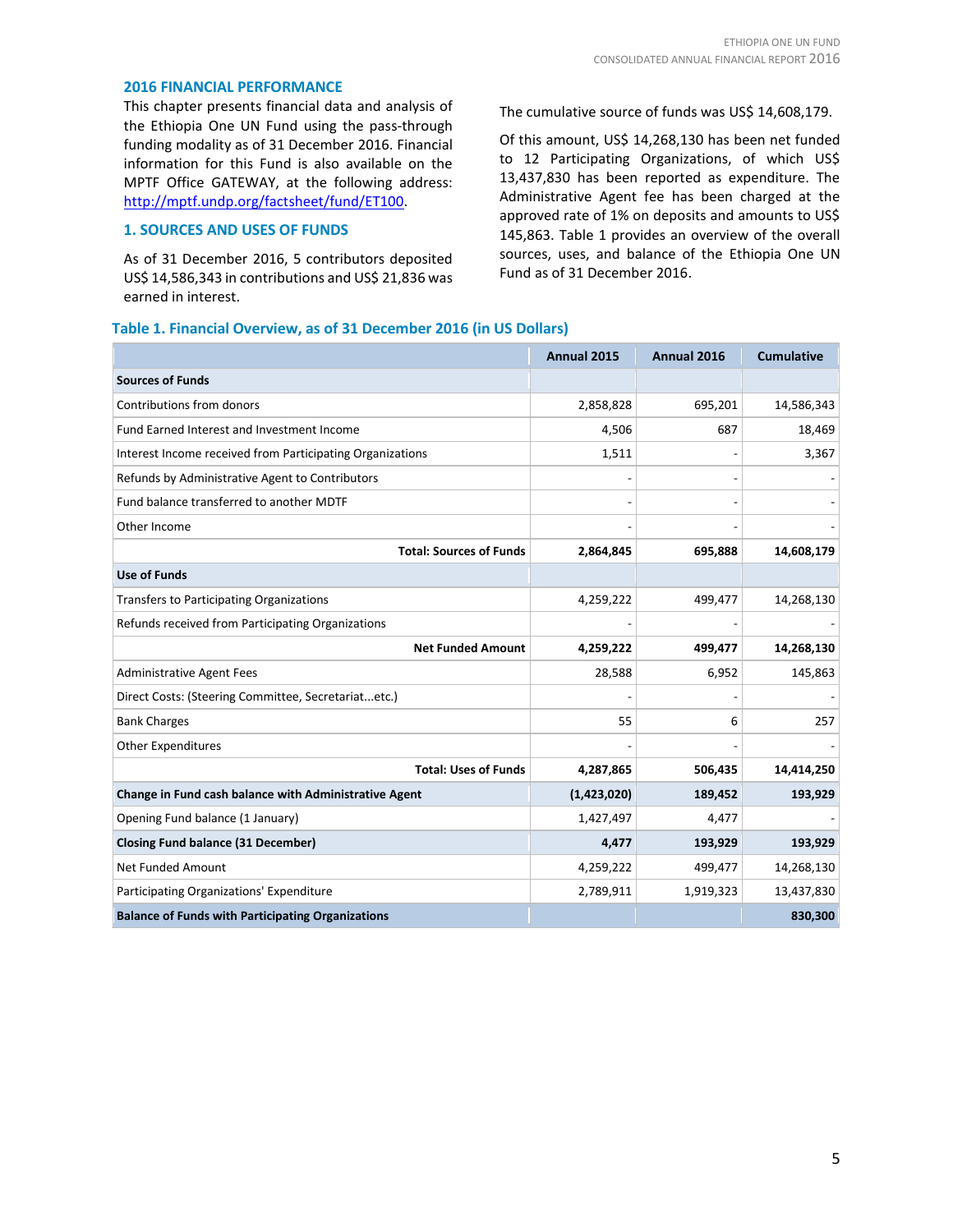#### **2016 FINANCIAL PERFORMANCE**

This chapter presents financial data and analysis of the Ethiopia One UN Fund using the pass-through funding modality as of 31 December 2016. Financial information for this Fund is also available on the MPTF Office GATEWAY, at the following address: [http://mptf.undp.org/factsheet/fund/ET100.](http://mptf.undp.org/factsheet/fund/ET100)

# **1. SOURCES AND USES OF FUNDS**

As of 31 December 2016, 5 contributors deposited US\$ 14,586,343 in contributions and US\$ 21,836 was earned in interest.

The cumulative source of funds was US\$ 14,608,179.

Of this amount, US\$ 14,268,130 has been net funded to 12 Participating Organizations, of which US\$ 13,437,830 has been reported as expenditure. The Administrative Agent fee has been charged at the approved rate of 1% on deposits and amounts to US\$ 145,863. Table 1 provides an overview of the overall sources, uses, and balance of the Ethiopia One UN Fund as of 31 December 2016.

### **Table 1. Financial Overview, as of 31 December 2016 (in US Dollars)**

|                                                           | Annual 2015 | Annual 2016 | <b>Cumulative</b> |
|-----------------------------------------------------------|-------------|-------------|-------------------|
| <b>Sources of Funds</b>                                   |             |             |                   |
| Contributions from donors                                 | 2,858,828   | 695,201     | 14,586,343        |
| Fund Earned Interest and Investment Income                | 4,506       | 687         | 18,469            |
| Interest Income received from Participating Organizations | 1,511       |             | 3,367             |
| Refunds by Administrative Agent to Contributors           |             |             |                   |
| Fund balance transferred to another MDTF                  |             |             |                   |
| Other Income                                              |             |             |                   |
| <b>Total: Sources of Funds</b>                            | 2,864,845   | 695,888     | 14,608,179        |
| <b>Use of Funds</b>                                       |             |             |                   |
| Transfers to Participating Organizations                  | 4,259,222   | 499,477     | 14,268,130        |
| Refunds received from Participating Organizations         |             |             |                   |
| <b>Net Funded Amount</b>                                  | 4,259,222   | 499,477     | 14,268,130        |
| <b>Administrative Agent Fees</b>                          | 28,588      | 6,952       | 145,863           |
| Direct Costs: (Steering Committee, Secretariatetc.)       |             |             |                   |
| <b>Bank Charges</b>                                       | 55          | 6           | 257               |
| <b>Other Expenditures</b>                                 |             |             |                   |
| <b>Total: Uses of Funds</b>                               | 4,287,865   | 506,435     | 14,414,250        |
| Change in Fund cash balance with Administrative Agent     | (1,423,020) | 189,452     | 193,929           |
| Opening Fund balance (1 January)                          | 1,427,497   | 4,477       |                   |
| <b>Closing Fund balance (31 December)</b>                 | 4,477       | 193,929     | 193,929           |
| <b>Net Funded Amount</b>                                  | 4,259,222   | 499,477     | 14,268,130        |
| Participating Organizations' Expenditure                  | 2,789,911   | 1,919,323   | 13,437,830        |
| <b>Balance of Funds with Participating Organizations</b>  |             |             | 830,300           |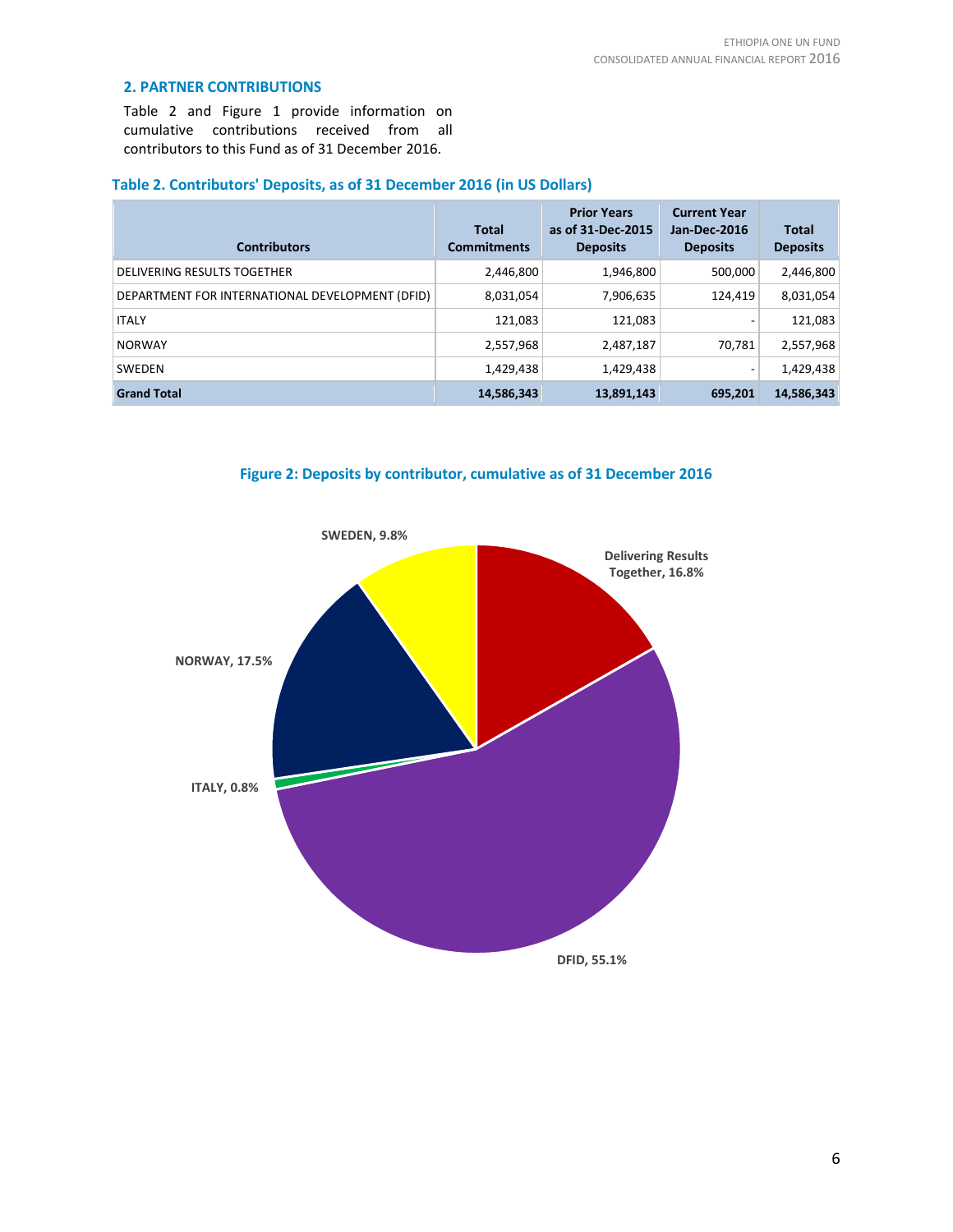# **2. PARTNER CONTRIBUTIONS**

Table 2 and Figure 1 provide information on cumulative contributions received from all contributors to this Fund as of 31 December 2016.

# **Table 2. Contributors' Deposits, as of 31 December 2016 (in US Dollars)**

| <b>Contributors</b>                             | <b>Total</b><br><b>Commitments</b> | <b>Prior Years</b><br>as of 31-Dec-2015<br><b>Deposits</b> | <b>Current Year</b><br>Jan-Dec-2016<br><b>Deposits</b> | <b>Total</b><br><b>Deposits</b> |
|-------------------------------------------------|------------------------------------|------------------------------------------------------------|--------------------------------------------------------|---------------------------------|
| DELIVERING RESULTS TOGETHER                     | 2,446,800                          | 1,946,800                                                  | 500,000                                                | 2,446,800                       |
| DEPARTMENT FOR INTERNATIONAL DEVELOPMENT (DFID) | 8,031,054                          | 7,906,635                                                  | 124.419                                                | 8,031,054                       |
| <b>ITALY</b>                                    | 121,083                            | 121,083                                                    | -                                                      | 121,083                         |
| <b>NORWAY</b>                                   | 2,557,968                          | 2,487,187                                                  | 70,781                                                 | 2,557,968                       |
| <b>SWEDEN</b>                                   | 1,429,438                          | 1,429,438                                                  | -                                                      | 1,429,438                       |
| <b>Grand Total</b>                              | 14,586,343                         | 13,891,143                                                 | 695,201                                                | 14,586,343                      |



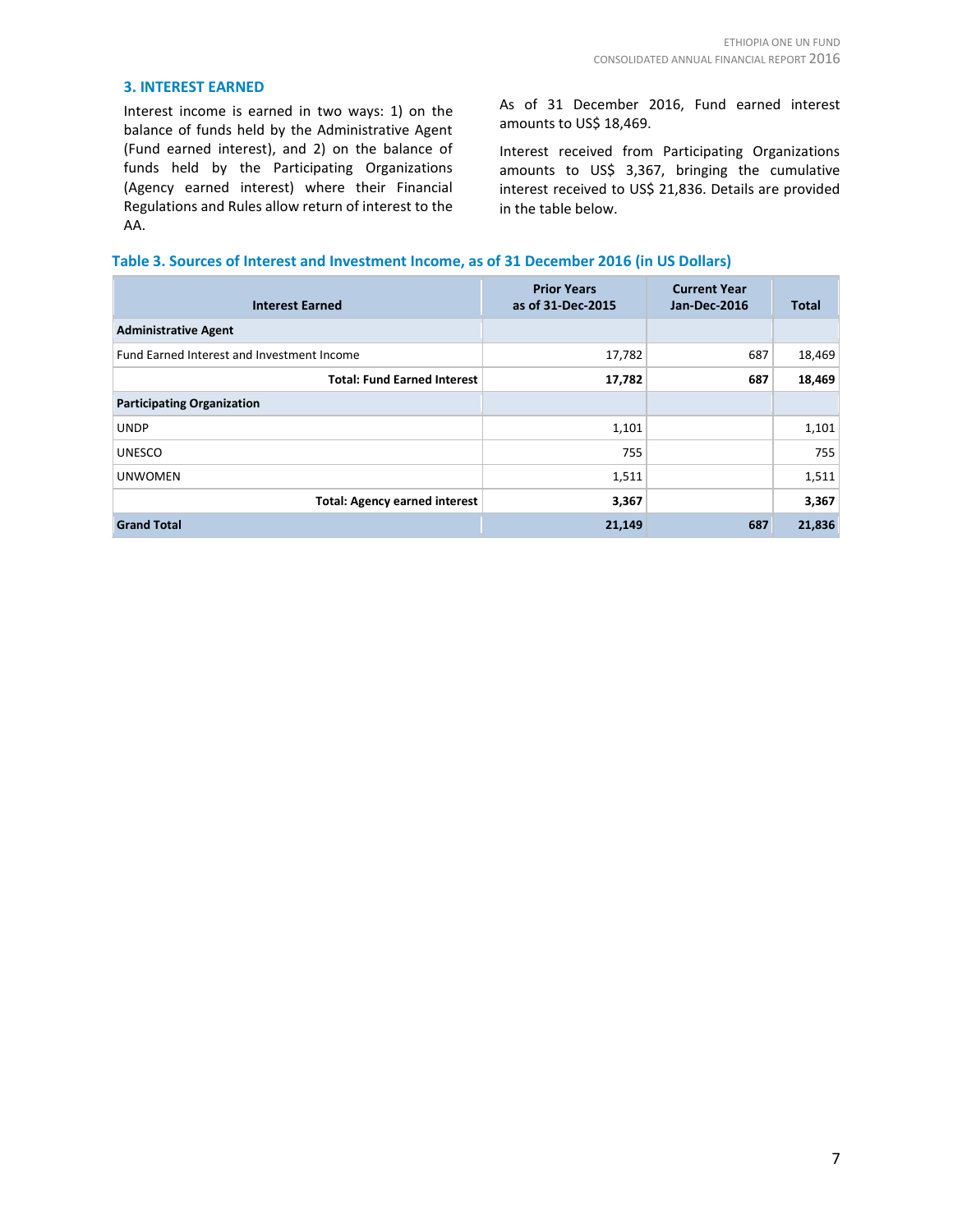# **3. INTEREST EARNED**

Interest income is earned in two ways: 1) on the balance of funds held by the Administrative Agent (Fund earned interest), and 2) on the balance of funds held by the Participating Organizations (Agency earned interest) where their Financial Regulations and Rules allow return of interest to the AA.

As of 31 December 2016, Fund earned interest amounts to US\$ 18,469.

Interest received from Participating Organizations amounts to US\$ 3,367, bringing the cumulative interest received to US\$ 21,836. Details are provided in the table below.

# **Table 3. Sources of Interest and Investment Income, as of 31 December 2016 (in US Dollars)**

| <b>Interest Earned</b>                     | <b>Prior Years</b><br>as of 31-Dec-2015 | <b>Current Year</b><br><b>Jan-Dec-2016</b> | <b>Total</b> |
|--------------------------------------------|-----------------------------------------|--------------------------------------------|--------------|
| <b>Administrative Agent</b>                |                                         |                                            |              |
| Fund Earned Interest and Investment Income | 17,782                                  | 687                                        | 18,469       |
| <b>Total: Fund Earned Interest</b>         | 17,782                                  | 687                                        | 18,469       |
| <b>Participating Organization</b>          |                                         |                                            |              |
| <b>UNDP</b>                                | 1,101                                   |                                            | 1,101        |
| <b>UNESCO</b>                              | 755                                     |                                            | 755          |
| <b>UNWOMEN</b>                             | 1,511                                   |                                            | 1,511        |
| <b>Total: Agency earned interest</b>       | 3,367                                   |                                            | 3,367        |
| <b>Grand Total</b>                         | 21,149                                  | 687                                        | 21,836       |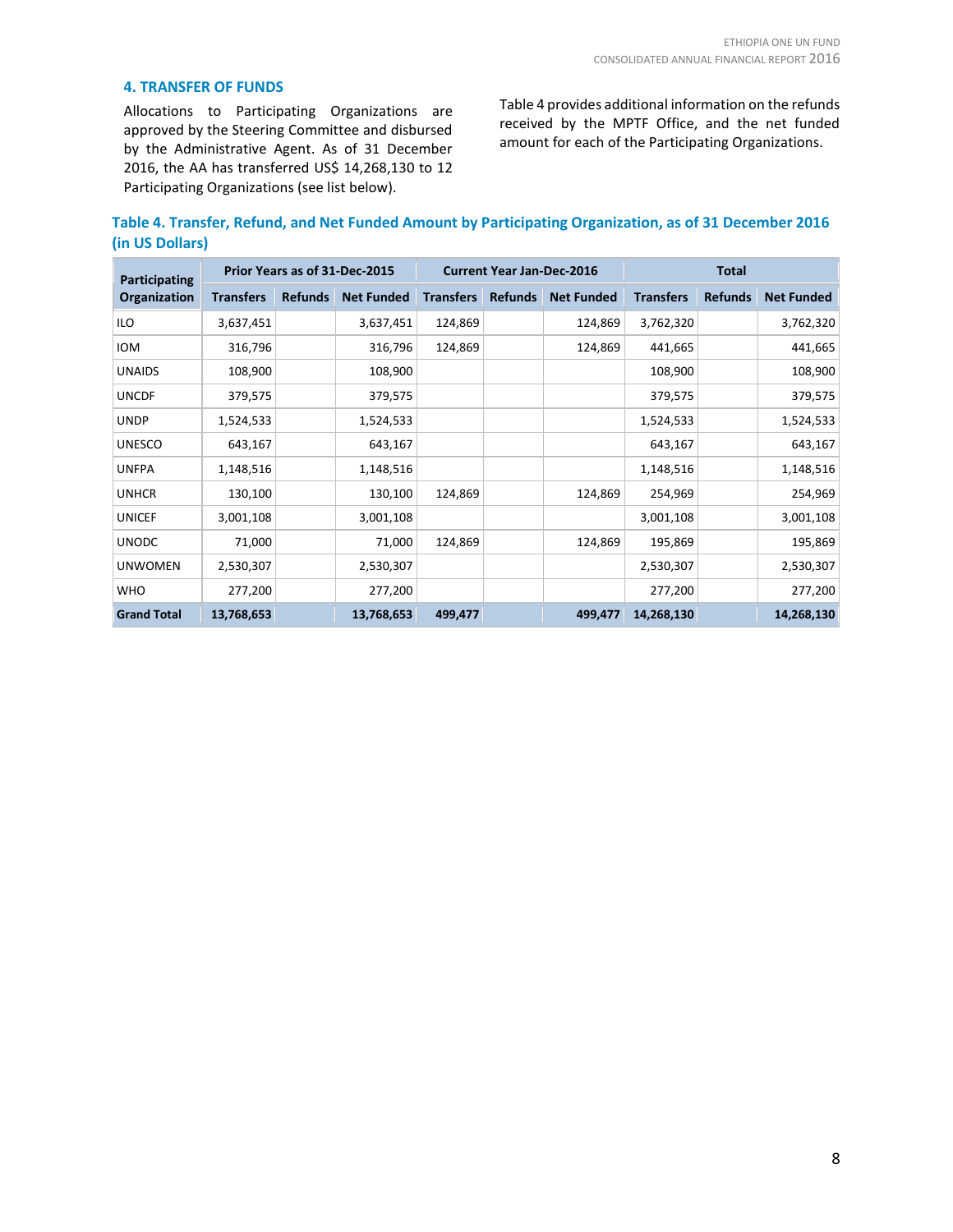# **4. TRANSFER OF FUNDS**

Allocations to Participating Organizations are approved by the Steering Committee and disbursed by the Administrative Agent. As of 31 December 2016, the AA has transferred US\$ 14,268,130 to 12 Participating Organizations (see list below).

Table 4 provides additional information on the refunds received by the MPTF Office, and the net funded amount for each of the Participating Organizations.

**Table 4. Transfer, Refund, and Net Funded Amount by Participating Organization, as of 31 December 2016 (in US Dollars)**

| Participating      | Prior Years as of 31-Dec-2015 |                | <b>Current Year Jan-Dec-2016</b> |                  |                | <b>Total</b>      |                  |                |                   |
|--------------------|-------------------------------|----------------|----------------------------------|------------------|----------------|-------------------|------------------|----------------|-------------------|
| Organization       | <b>Transfers</b>              | <b>Refunds</b> | <b>Net Funded</b>                | <b>Transfers</b> | <b>Refunds</b> | <b>Net Funded</b> | <b>Transfers</b> | <b>Refunds</b> | <b>Net Funded</b> |
| ILO                | 3,637,451                     |                | 3,637,451                        | 124,869          |                | 124,869           | 3,762,320        |                | 3,762,320         |
| <b>IOM</b>         | 316,796                       |                | 316,796                          | 124,869          |                | 124,869           | 441,665          |                | 441,665           |
| <b>UNAIDS</b>      | 108,900                       |                | 108,900                          |                  |                |                   | 108,900          |                | 108,900           |
| <b>UNCDF</b>       | 379,575                       |                | 379,575                          |                  |                |                   | 379,575          |                | 379,575           |
| <b>UNDP</b>        | 1,524,533                     |                | 1,524,533                        |                  |                |                   | 1,524,533        |                | 1,524,533         |
| <b>UNESCO</b>      | 643,167                       |                | 643,167                          |                  |                |                   | 643,167          |                | 643,167           |
| <b>UNFPA</b>       | 1,148,516                     |                | 1,148,516                        |                  |                |                   | 1,148,516        |                | 1,148,516         |
| <b>UNHCR</b>       | 130,100                       |                | 130,100                          | 124,869          |                | 124,869           | 254,969          |                | 254,969           |
| <b>UNICEF</b>      | 3,001,108                     |                | 3,001,108                        |                  |                |                   | 3,001,108        |                | 3,001,108         |
| <b>UNODC</b>       | 71,000                        |                | 71,000                           | 124,869          |                | 124,869           | 195,869          |                | 195,869           |
| <b>UNWOMEN</b>     | 2,530,307                     |                | 2,530,307                        |                  |                |                   | 2,530,307        |                | 2,530,307         |
| <b>WHO</b>         | 277,200                       |                | 277,200                          |                  |                |                   | 277,200          |                | 277,200           |
| <b>Grand Total</b> | 13,768,653                    |                | 13,768,653                       | 499,477          |                | 499,477           | 14,268,130       |                | 14,268,130        |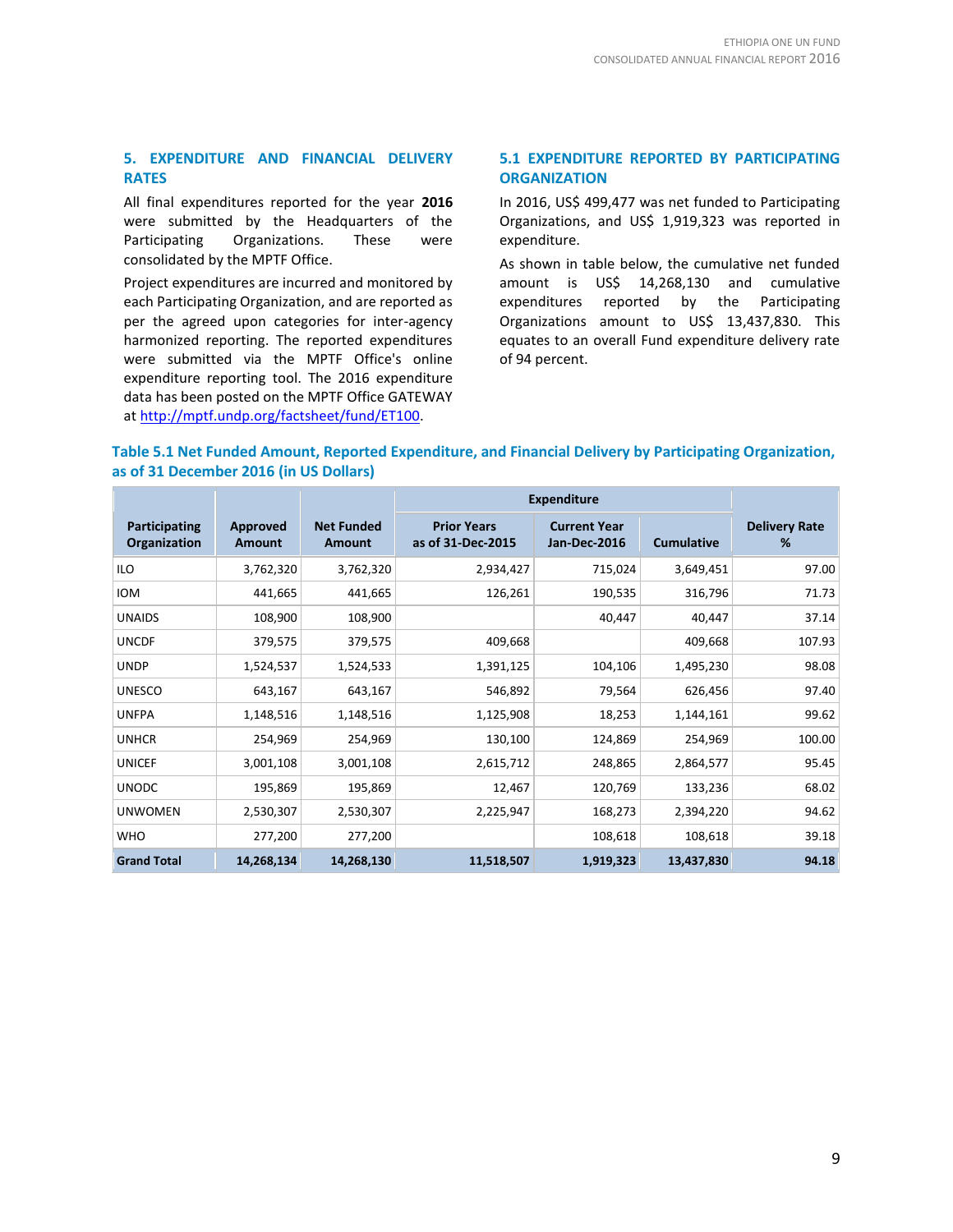# **5. EXPENDITURE AND FINANCIAL DELIVERY RATES**

All final expenditures reported for the year **2016** were submitted by the Headquarters of the Participating Organizations. These were consolidated by the MPTF Office.

Project expenditures are incurred and monitored by each Participating Organization, and are reported as per the agreed upon categories for inter-agency harmonized reporting. The reported expenditures were submitted via the MPTF Office's online expenditure reporting tool. The 2016 expenditure data has been posted on the MPTF Office GATEWAY at [http://mptf.undp.org/factsheet/fund/ET100.](http://mptf.undp.org/factsheet/fund/ET100)

# **5.1 EXPENDITURE REPORTED BY PARTICIPATING ORGANIZATION**

In 2016, US\$ 499,477 was net funded to Participating Organizations, and US\$ 1,919,323 was reported in expenditure.

As shown in table below, the cumulative net funded amount is US\$ 14,268,130 and cumulative expenditures reported by the Participating Organizations amount to US\$ 13,437,830. This equates to an overall Fund expenditure delivery rate of 94 percent.

# **Table 5.1 Net Funded Amount, Reported Expenditure, and Financial Delivery by Participating Organization, as of 31 December 2016 (in US Dollars)**

|                               |                           |                             | <b>Expenditure</b>                      |                                     |                   |                           |
|-------------------------------|---------------------------|-----------------------------|-----------------------------------------|-------------------------------------|-------------------|---------------------------|
| Participating<br>Organization | Approved<br><b>Amount</b> | <b>Net Funded</b><br>Amount | <b>Prior Years</b><br>as of 31-Dec-2015 | <b>Current Year</b><br>Jan-Dec-2016 | <b>Cumulative</b> | <b>Delivery Rate</b><br>% |
| <b>ILO</b>                    | 3,762,320                 | 3,762,320                   | 2,934,427                               | 715,024                             | 3,649,451         | 97.00                     |
| <b>IOM</b>                    | 441,665                   | 441,665                     | 126,261                                 | 190,535                             | 316,796           | 71.73                     |
| <b>UNAIDS</b>                 | 108,900                   | 108,900                     |                                         | 40,447                              | 40,447            | 37.14                     |
| <b>UNCDF</b>                  | 379,575                   | 379,575                     | 409,668                                 |                                     | 409,668           | 107.93                    |
| <b>UNDP</b>                   | 1,524,537                 | 1,524,533                   | 1,391,125                               | 104,106                             | 1,495,230         | 98.08                     |
| <b>UNESCO</b>                 | 643,167                   | 643,167                     | 546,892                                 | 79,564                              | 626,456           | 97.40                     |
| <b>UNFPA</b>                  | 1,148,516                 | 1,148,516                   | 1,125,908                               | 18,253                              | 1,144,161         | 99.62                     |
| <b>UNHCR</b>                  | 254,969                   | 254,969                     | 130,100                                 | 124,869                             | 254,969           | 100.00                    |
| <b>UNICEF</b>                 | 3,001,108                 | 3,001,108                   | 2,615,712                               | 248,865                             | 2,864,577         | 95.45                     |
| <b>UNODC</b>                  | 195,869                   | 195,869                     | 12,467                                  | 120,769                             | 133,236           | 68.02                     |
| <b>UNWOMEN</b>                | 2,530,307                 | 2,530,307                   | 2,225,947                               | 168,273                             | 2,394,220         | 94.62                     |
| <b>WHO</b>                    | 277,200                   | 277,200                     |                                         | 108,618                             | 108,618           | 39.18                     |
| <b>Grand Total</b>            | 14,268,134                | 14,268,130                  | 11,518,507                              | 1,919,323                           | 13,437,830        | 94.18                     |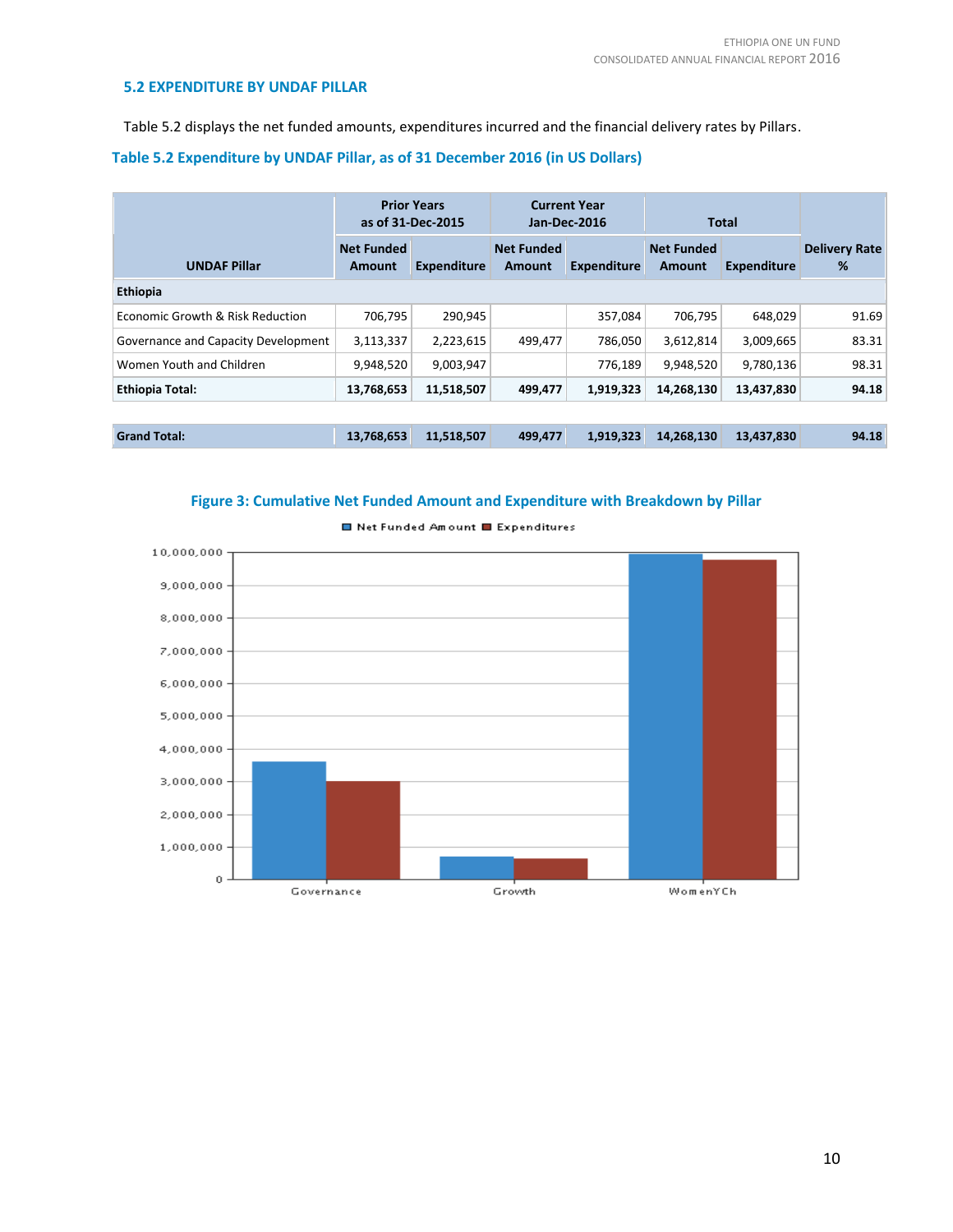# **5.2 EXPENDITURE BY UNDAF PILLAR**

Table 5.2 displays the net funded amounts, expenditures incurred and the financial delivery rates by Pillars.

|                                     |                             | <b>Prior Years</b><br>as of 31-Dec-2015 |                             | <b>Current Year</b><br>Jan-Dec-2016 |                                    | <b>Total</b> |                           |
|-------------------------------------|-----------------------------|-----------------------------------------|-----------------------------|-------------------------------------|------------------------------------|--------------|---------------------------|
| <b>UNDAF Pillar</b>                 | <b>Net Funded</b><br>Amount | Expenditure                             | <b>Net Funded</b><br>Amount | <b>Expenditure</b>                  | <b>Net Funded</b><br><b>Amount</b> | Expenditure  | <b>Delivery Rate</b><br>% |
| <b>Ethiopia</b>                     |                             |                                         |                             |                                     |                                    |              |                           |
| Economic Growth & Risk Reduction    | 706,795                     | 290,945                                 |                             | 357,084                             | 706,795                            | 648,029      | 91.69                     |
| Governance and Capacity Development | 3,113,337                   | 2,223,615                               | 499,477                     | 786,050                             | 3,612,814                          | 3,009,665    | 83.31                     |
| Women Youth and Children            | 9,948,520                   | 9,003,947                               |                             | 776.189                             | 9,948,520                          | 9,780,136    | 98.31                     |
| <b>Ethiopia Total:</b>              | 13,768,653                  | 11,518,507                              | 499,477                     | 1,919,323                           | 14,268,130                         | 13,437,830   | 94.18                     |
|                                     |                             |                                         |                             |                                     |                                    |              |                           |
| <b>Grand Total:</b>                 | 13,768,653                  | 11,518,507                              | 499,477                     | 1,919,323                           | 14,268,130                         | 13,437,830   | 94.18                     |

# **Table 5.2 Expenditure by UNDAF Pillar, as of 31 December 2016 (in US Dollars)**

# **Figure 3: Cumulative Net Funded Amount and Expenditure with Breakdown by Pillar**



Net Funded Amount **B** Expenditures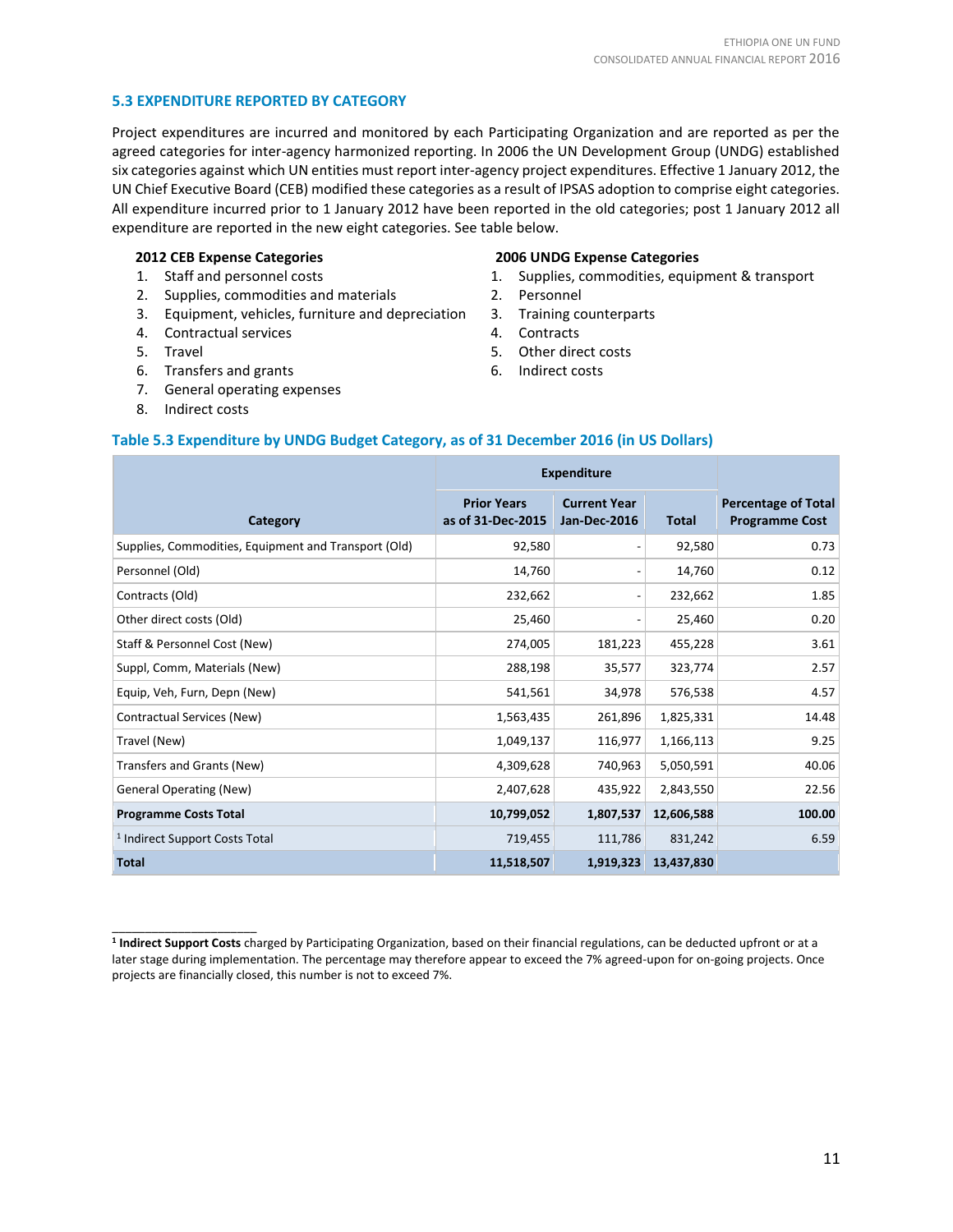# **5.3 EXPENDITURE REPORTED BY CATEGORY**

Project expenditures are incurred and monitored by each Participating Organization and are reported as per the agreed categories for inter-agency harmonized reporting. In 2006 the UN Development Group (UNDG) established six categories against which UN entities must report inter-agency project expenditures. Effective 1 January 2012, the UN Chief Executive Board (CEB) modified these categories as a result of IPSAS adoption to comprise eight categories. All expenditure incurred prior to 1 January 2012 have been reported in the old categories; post 1 January 2012 all expenditure are reported in the new eight categories. See table below.

#### **2012 CEB Expense Categories**

- 1. Staff and personnel costs
- 2. Supplies, commodities and materials
- 3. Equipment, vehicles, furniture and depreciation
- 4. Contractual services
- 5. Travel
- 6. Transfers and grants
- 7. General operating expenses
- 8. Indirect costs

# **2006 UNDG Expense Categories**

- 1. Supplies, commodities, equipment & transport
- 2. Personnel
- 3. Training counterparts
- 4. Contracts
- 5. Other direct costs
- 6. Indirect costs

# **Table 5.3 Expenditure by UNDG Budget Category, as of 31 December 2016 (in US Dollars)**

|                                                      | <b>Expenditure</b>                      |                                            |              |                                                     |
|------------------------------------------------------|-----------------------------------------|--------------------------------------------|--------------|-----------------------------------------------------|
| Category                                             | <b>Prior Years</b><br>as of 31-Dec-2015 | <b>Current Year</b><br><b>Jan-Dec-2016</b> | <b>Total</b> | <b>Percentage of Total</b><br><b>Programme Cost</b> |
| Supplies, Commodities, Equipment and Transport (Old) | 92,580                                  |                                            | 92,580       | 0.73                                                |
| Personnel (Old)                                      | 14,760                                  |                                            | 14,760       | 0.12                                                |
| Contracts (Old)                                      | 232,662                                 |                                            | 232,662      | 1.85                                                |
| Other direct costs (Old)                             | 25,460                                  |                                            | 25,460       | 0.20                                                |
| Staff & Personnel Cost (New)                         | 274,005                                 | 181,223                                    | 455,228      | 3.61                                                |
| Suppl, Comm, Materials (New)                         | 288,198                                 | 35,577                                     | 323,774      | 2.57                                                |
| Equip, Veh, Furn, Depn (New)                         | 541,561                                 | 34,978                                     | 576,538      | 4.57                                                |
| Contractual Services (New)                           | 1,563,435                               | 261,896                                    | 1,825,331    | 14.48                                               |
| Travel (New)                                         | 1,049,137                               | 116,977                                    | 1,166,113    | 9.25                                                |
| Transfers and Grants (New)                           | 4,309,628                               | 740,963                                    | 5,050,591    | 40.06                                               |
| <b>General Operating (New)</b>                       | 2,407,628                               | 435,922                                    | 2,843,550    | 22.56                                               |
| <b>Programme Costs Total</b>                         | 10,799,052                              | 1,807,537                                  | 12,606,588   | 100.00                                              |
| <sup>1</sup> Indirect Support Costs Total            | 719,455                                 | 111,786                                    | 831,242      | 6.59                                                |
| <b>Total</b>                                         | 11,518,507                              | 1,919,323                                  | 13,437,830   |                                                     |

\_\_\_\_\_\_\_\_\_\_\_\_\_\_\_\_\_\_\_\_\_\_ **1 Indirect Support Costs** charged by Participating Organization, based on their financial regulations, can be deducted upfront or at a later stage during implementation. The percentage may therefore appear to exceed the 7% agreed-upon for on-going projects. Once projects are financially closed, this number is not to exceed 7%.